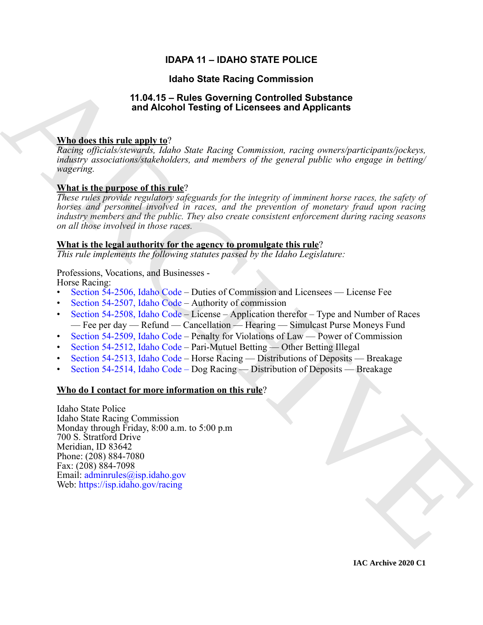# **IDAPA 11 – IDAHO STATE POLICE**

# **Idaho State Racing Commission**

# **11.04.15 – Rules Governing Controlled Substance and Alcohol Testing of Licensees and Applicants**

# **Who does this rule apply to**?

*Racing officials/stewards, Idaho State Racing Commission, racing owners/participants/jockeys, industry associations/stakeholders, and members of the general public who engage in betting/ wagering.*

# **What is the purpose of this rule**?

*These rules provide regulatory safeguards for the integrity of imminent horse races, the safety of horses and personnel involved in races, and the prevention of monetary fraud upon racing industry members and the public. They also create consistent enforcement during racing seasons on all those involved in those races.*

# **What is the legal authority for the agency to promulgate this rule**?

*This rule implements the following statutes passed by the Idaho Legislature:*

Professions, Vocations, and Businesses - Horse Racing:

- Section 54-2506, Idaho Code Duties of Commission and Licensees License Fee
- Section 54-2507, Idaho Code Authority of commission
- Section 54-2508, Idaho Code License Application therefor Type and Number of Races — Fee per day — Refund — Cancellation — Hearing — Simulcast Purse Moneys Fund
- Section 54-2509, Idaho Code Penalty for Violations of Law Power of Commission
- Section 54-2512, Idaho Code Pari-Mutuel Betting Other Betting Illegal
- Section 54-2513, Idaho Code Horse Racing Distributions of Deposits Breakage
- Section 54-2514, Idaho Code Dog Racing Distribution of Deposits Breakage

# **Who do I contact for more information on this rule**?

**Halbo State Recinq [C](https://legislature.idaho.gov/statutesrules/idstat/Title54/T54CH25/SECT54-2506/)ommission**<br> **ARA 15 - Rales Governing Contributes**<br> **ARA 16 - Rales Coverning Contributes**<br> **ARA 16 - ARA 16 - ARA 16 - ARA 16 - ARA 16 - ARA 16 - ARA 16 - ARA 16 - ARA 16 - ARA 16 - ARA 16 - ARA 16 -**Idaho State Police Idaho State Racing Commission Monday through Friday, 8:00 a.m. to 5:00 p.m 700 S. Stratford Drive Meridian, ID 83642 Phone: (208) 884-7080 Fax: (208) 884-7098 Email: adminrules@isp.idaho.gov Web: https://isp.idaho.gov/racing

**IAC Archive 2020 C1**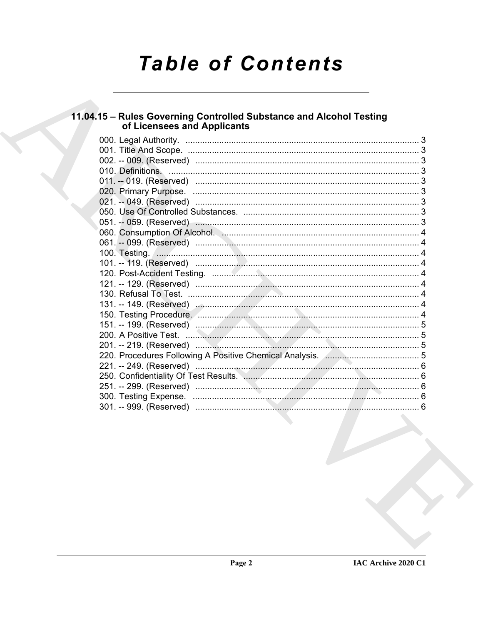# **Table of Contents**

# 11.04.15 – Rules Governing Controlled Substance and Alcohol Testing<br>of Licensees and Applicants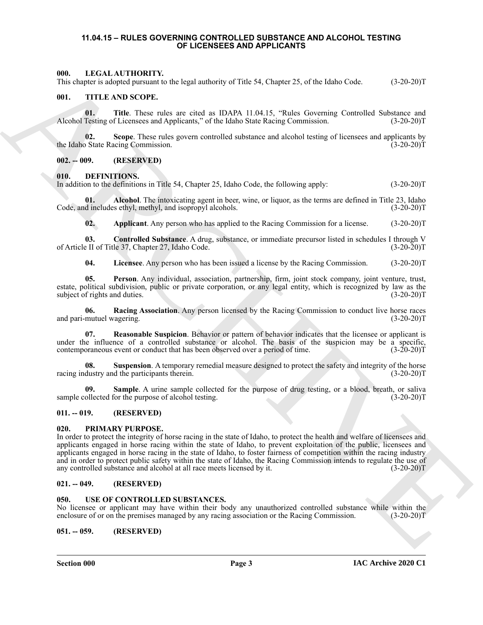#### <span id="page-2-0"></span>**11.04.15 – RULES GOVERNING CONTROLLED SUBSTANCE AND ALCOHOL TESTING OF LICENSEES AND APPLICANTS**

#### <span id="page-2-20"></span><span id="page-2-1"></span>**000. LEGAL AUTHORITY.**

This chapter is adopted pursuant to the legal authority of Title 54, Chapter 25, of the Idaho Code. (3-20-20)T

#### <span id="page-2-22"></span><span id="page-2-2"></span>**001. TITLE AND SCOPE.**

**01.** Title. These rules are cited as IDAPA 11.04.15, "Rules Governing Controlled Substance and Testing of Licensees and Applicants," of the Idaho State Racing Commission. (3-20-20)T Alcohol Testing of Licensees and Applicants," of the Idaho State Racing Commission.

**02.** Scope. These rules govern controlled substance and alcohol testing of licensees and applicants by State Racing Commission. (3-20-20) the Idaho State Racing Commission.

#### <span id="page-2-3"></span>**002. -- 009. (RESERVED)**

#### <span id="page-2-10"></span><span id="page-2-4"></span>**010. DEFINITIONS.**

In addition to the definitions in Title 54, Chapter 25, Idaho Code, the following apply: (3-20-20)T

**01. Alcohol**. The intoxicating agent in beer, wine, or liquor, as the terms are defined in Title 23, Idaho Code, and includes ethyl, methyl, and isopropyl alcohols. (3-20-20)T

<span id="page-2-13"></span><span id="page-2-12"></span><span id="page-2-11"></span>**02. Applicant**. Any person who has applied to the Racing Commission for a license. (3-20-20)T

**03. Controlled Substance**. A drug, substance, or immediate precursor listed in schedules I through V of Article II of Title 37, Chapter 27, Idaho Code. (3-20-20)T

<span id="page-2-16"></span><span id="page-2-15"></span><span id="page-2-14"></span>**04. Licensee**. Any person who has been issued a license by the Racing Commission. (3-20-20)T

**05. Person**. Any individual, association, partnership, firm, joint stock company, joint venture, trust, estate, political subdivision, public or private corporation, or any legal entity, which is recognized by law as the subject of rights and duties. (3-20-20) subject of rights and duties.

**06. Racing Association**. Any person licensed by the Racing Commission to conduct live horse races and pari-mutuel wagering. (3-20-20)T

<span id="page-2-17"></span>**07. Reasonable Suspicion**. Behavior or pattern of behavior indicates that the licensee or applicant is under the influence of a controlled substance or alcohol. The basis of the suspicion may be a specific, contemporaneous event or conduct that has been observed over a period of time. (3-20-20)T

<span id="page-2-19"></span>**Suspension**. A temporary remedial measure designed to protect the safety and integrity of the horse racing industry and the participants therein. (3-20-20)T

<span id="page-2-18"></span>**09. Sample**. A urine sample collected for the purpose of drug testing, or a blood, breath, or saliva sample collected for the purpose of alcohol testing. (3-20-20)T

### <span id="page-2-5"></span>**011. -- 019. (RESERVED)**

#### <span id="page-2-21"></span><span id="page-2-6"></span>**020. PRIMARY PURPOSE.**

60.<br>
The CHAT ARTIFORNITY of the lagar substitute of Fig. 54, Chapter 25, of the Idah Gode.<br>
(13.20.30) T<br>
(11. THE ARCHIVES SCOPE and are distributed by the Second Scotting Constrained Schemes and<br>
The Channel Scheme of In order to protect the integrity of horse racing in the state of Idaho, to protect the health and welfare of licensees and applicants engaged in horse racing within the state of Idaho, to prevent exploitation of the public, licensees and applicants engaged in horse racing in the state of Idaho, to foster fairness of competition within the racing industry and in order to protect public safety within the state of Idaho, the Racing Commission intends to regulate the use of any controlled substance and alcohol at all race meets licensed by it. (3-20-20)T

#### <span id="page-2-7"></span>**021. -- 049. (RESERVED)**

#### <span id="page-2-23"></span><span id="page-2-8"></span>**USE OF CONTROLLED SUBSTANCES.**

No licensee or applicant may have within their body any unauthorized controlled substance while within the enclosure of or on the premises managed by any racing association or the Racing Commission. (3-20-20)T

<span id="page-2-9"></span>**051. -- 059. (RESERVED)**

**Section 000 Page 3**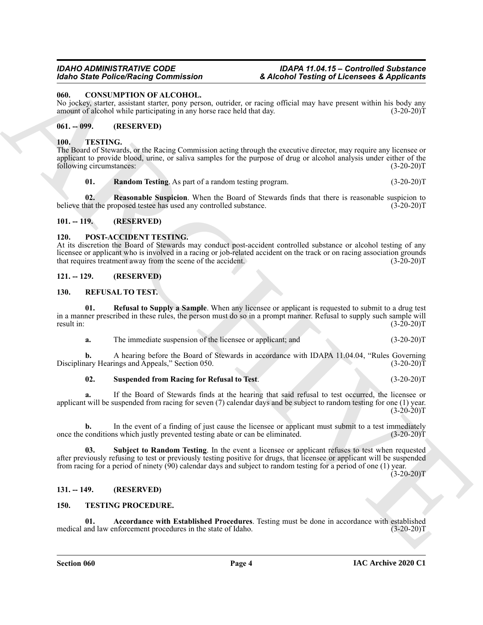### <span id="page-3-9"></span><span id="page-3-0"></span>**060. CONSUMPTION OF ALCOHOL.**

No jockey, starter, assistant starter, pony person, outrider, or racing official may have present within his body any amount of alcohol while participating in any horse race held that day. (3-20-20)T

### <span id="page-3-1"></span>**061. -- 099. (RESERVED)**

#### <span id="page-3-15"></span><span id="page-3-2"></span>**100. TESTING.**

The Board of Stewards, or the Racing Commission acting through the executive director, may require any licensee or applicant to provide blood, urine, or saliva samples for the purpose of drug or alcohol analysis under either of the following circumstances: (3-20-20)T

#### <span id="page-3-17"></span><span id="page-3-16"></span>**01. Random Testing**. As part of a random testing program. (3-20-20)T

**02. Reasonable Suspicion**. When the Board of Stewards finds that there is reasonable suspicion to believe that the proposed testee has used any controlled substance. (3-20-20)T

## <span id="page-3-3"></span>**101. -- 119. (RESERVED)**

#### <span id="page-3-10"></span><span id="page-3-4"></span>**120. POST-ACCIDENT TESTING.**

At its discretion the Board of Stewards may conduct post-accident controlled substance or alcohol testing of any licensee or applicant who is involved in a racing or job-related accident on the track or on racing association grounds<br>that requires treatment away from the scene of the accident. (3-20-20) that requires treatment away from the scene of the accident.

#### <span id="page-3-5"></span>**121. -- 129. (RESERVED)**

#### <span id="page-3-11"></span><span id="page-3-6"></span>**130. REFUSAL TO TEST.**

**01. Refusal to Supply a Sample**. When any licensee or applicant is requested to submit to a drug test in a manner prescribed in these rules, the person must do so in a prompt manner. Refusal to supply such sample will result in:  $(3-20-20)T$ 

<span id="page-3-12"></span>**a.** The immediate suspension of the licensee or applicant; and  $(3-20-20)$ T

**b.** A hearing before the Board of Stewards in accordance with IDAPA 11.04.04, "Rules Governing hary Hearings and Appeals," Section 050. (3-20-20) Disciplinary Hearings and Appeals," Section 050.

#### <span id="page-3-14"></span>**02. Suspended from Racing for Refusal to Test**. (3-20-20)T

**a.** If the Board of Stewards finds at the hearing that said refusal to test occurred, the licensee or applicant will be suspended from racing for seven (7) calendar days and be subject to random testing for one (1) year.  $(3-20-20)T$ 

<span id="page-3-13"></span>**b.** In the event of a finding of just cause the licensee or applicant must submit to a test immediately conditions which justly prevented testing abate or can be eliminated. (3-20-20)<sup>T</sup> once the conditions which justly prevented testing abate or can be eliminated.

Goto The Police Point Counter and Counter and Counter and Counter and Counter and Counter and Counter and Counter and Counter and Counter and Counter and Counter and Counter and Counter and Counter and Counter and Counter **03. Subject to Random Testing**. In the event a licensee or applicant refuses to test when requested after previously refusing to test or previously testing positive for drugs, that licensee or applicant will be suspended from racing for a period of ninety (90) calendar days and subject to random testing for a period of one (1) year.

 $(3-20-20)T$ 

### <span id="page-3-7"></span>**131. -- 149. (RESERVED)**

#### <span id="page-3-18"></span><span id="page-3-8"></span>**150. TESTING PROCEDURE.**

<span id="page-3-19"></span>**01.** Accordance with Established Procedures. Testing must be done in accordance with established and law enforcement procedures in the state of Idaho. (3-20-20)<sup>T</sup> medical and law enforcement procedures in the state of Idaho.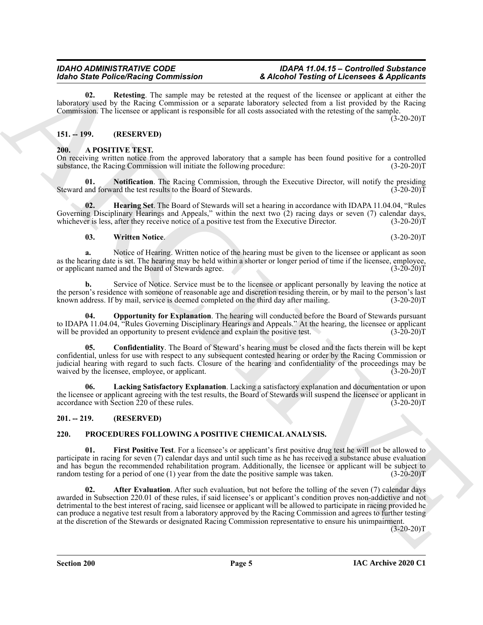<span id="page-4-14"></span>**02. Retesting**. The sample may be retested at the request of the licensee or applicant at either the laboratory used by the Racing Commission or a separate laboratory selected from a list provided by the Racing Commission. The licensee or applicant is responsible for all costs associated with the retesting of the sample.  $(3-20-20)$ T

## <span id="page-4-0"></span>**151. -- 199. (RESERVED)**

### <span id="page-4-4"></span><span id="page-4-1"></span>**200. A POSITIVE TEST.**

On receiving written notice from the approved laboratory that a sample has been found positive for a controlled substance, the Racing Commission will initiate the following procedure: (3-20-20) (3-20-20) T

<span id="page-4-8"></span>**Notification**. The Racing Commission, through the Executive Director, will notify the presiding ard the test results to the Board of Stewards. (3-20-20)<sup>T</sup> Steward and forward the test results to the Board of Stewards.

**02. Hearing Set**. The Board of Stewards will set a hearing in accordance with IDAPA 11.04.04, "Rules Governing Disciplinary Hearings and Appeals," within the next two  $(2)$  racing days or seven  $(7)$  calendar days, whichever is less, after they receive notice of a positive test from the Executive Director.  $(3-20-20)$ whichever is less, after they receive notice of a positive test from the Executive Director.

#### <span id="page-4-10"></span><span id="page-4-6"></span>**03. Written Notice**. (3-20-20)T

**a.** Notice of Hearing. Written notice of the hearing must be given to the licensee or applicant as soon as the hearing date is set. The hearing may be held within a shorter or longer period of time if the licensee, employee, or applicant named and the Board of Stewards agree. (3-20-20) or applicant named and the Board of Stewards agree.

**b.** Service of Notice. Service must be to the licensee or applicant personally by leaving the notice at the person's residence with someone of reasonable age and discretion residing therein, or by mail to the person's last known address. If by mail, service is deemed completed on the third day after mailing. (3-20-20)T

<span id="page-4-9"></span>**Opportunity for Explanation**. The hearing will conducted before the Board of Stewards pursuant to IDAPA 11.04.04, "Rules Governing Disciplinary Hearings and Appeals." At the hearing, the licensee or applicant will be provided an opportunity to present evidence and explain the positive test. (3-20-20)T will be provided an opportunity to present evidence and explain the positive test.

<span id="page-4-5"></span>**05. Confidentiality**. The Board of Steward's hearing must be closed and the facts therein will be kept confidential, unless for use with respect to any subsequent contested hearing or order by the Racing Commission or judicial hearing with regard to such facts. Closure of the hearing and confidentiality of the proceedings may be waived by the licensee, employee, or applicant. (3-20-20)T

<span id="page-4-7"></span>**06. Lacking Satisfactory Explanation**. Lacking a satisfactory explanation and documentation or upon the licensee or applicant agreeing with the test results, the Board of Stewards will suspend the licensee or applicant in accordance with Section 220 of these rules. (3-20-20) accordance with Section  $220$  of these rules.

### <span id="page-4-2"></span>**201. -- 219. (RESERVED)**

# <span id="page-4-11"></span><span id="page-4-3"></span>**220. PROCEDURES FOLLOWING A POSITIVE CHEMICAL ANALYSIS.**

<span id="page-4-13"></span><span id="page-4-12"></span>**01. First Positive Test**. For a licensee's or applicant's first positive drug test he will not be allowed to participate in racing for seven (7) calendar days and until such time as he has received a substance abuse evaluation and has begun the recommended rehabilitation program. Additionally, the licensee or applicant will be subject to random testing for a period of one (1) year from the date the positive sample was taken. (3-20-20)T random testing for a period of one  $(1)$  year from the date the positive sample was taken.

Mode State Police Characterization of the state of the form of the form of the state of the state of the state of the state of the state of the state of the state of the state of the state of the state of the state of the After Evaluation. After such evaluation, but not before the tolling of the seven (7) calendar days awarded in Subsection 220.01 of these rules, if said licensee's or applicant's condition proves non-addictive and not detrimental to the best interest of racing, said licensee or applicant will be allowed to participate in racing provided he can produce a negative test result from a laboratory approved by the Racing Commission and agrees to further testing at the discretion of the Stewards or designated Racing Commission representative to ensure his unimpairment.

 $(3-20-20)T$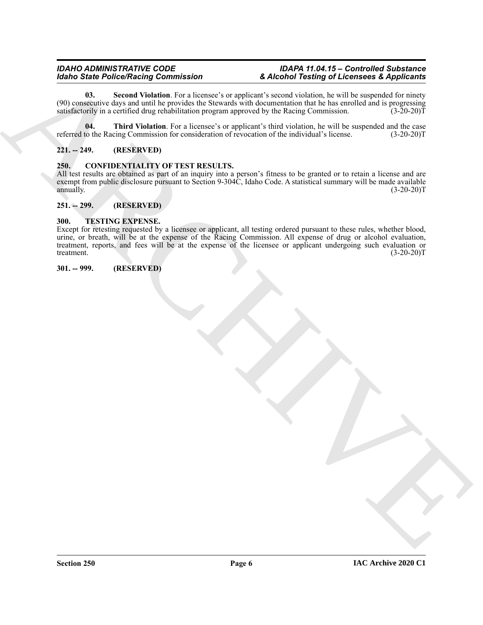<span id="page-5-6"></span>**03.** Second Violation. For a licensee's or applicant's second violation, he will be suspended for ninety (90) consecutive days and until he provides the Stewards with documentation that he has enrolled and is progressing satisfactorily in a certified drug rehabilitation program approved by the Racing Commission. (3-20-20)T

<span id="page-5-7"></span>**04. Third Violation**. For a licensee's or applicant's third violation, he will be suspended and the case referred to the Racing Commission for consideration of revocation of the individual's license. (3-20-20)T

# <span id="page-5-0"></span>**221. -- 249. (RESERVED)**

### <span id="page-5-5"></span><span id="page-5-1"></span>**250. CONFIDENTIALITY OF TEST RESULTS.**

All test results are obtained as part of an inquiry into a person's fitness to be granted or to retain a license and are exempt from public disclosure pursuant to Section 9-304C, Idaho Code. A statistical summary will be made available annually.  $(3-20-20)T$ 

# <span id="page-5-2"></span>**251. -- 299. (RESERVED)**

#### <span id="page-5-8"></span><span id="page-5-3"></span>**300. TESTING EXPENSE.**

Monto Sainte Police Neumann Granten and the control of the control of the control of the control of the control of the control of the control of the control of the control of the control of the control of the control of t Except for retesting requested by a licensee or applicant, all testing ordered pursuant to these rules, whether blood, urine, or breath, will be at the expense of the Racing Commission. All expense of drug or alcohol evaluation, treatment, reports, and fees will be at the expense of the licensee or applicant undergoing such evaluation or treatment. (3-20-20)T

<span id="page-5-4"></span>**301. -- 999. (RESERVED)**